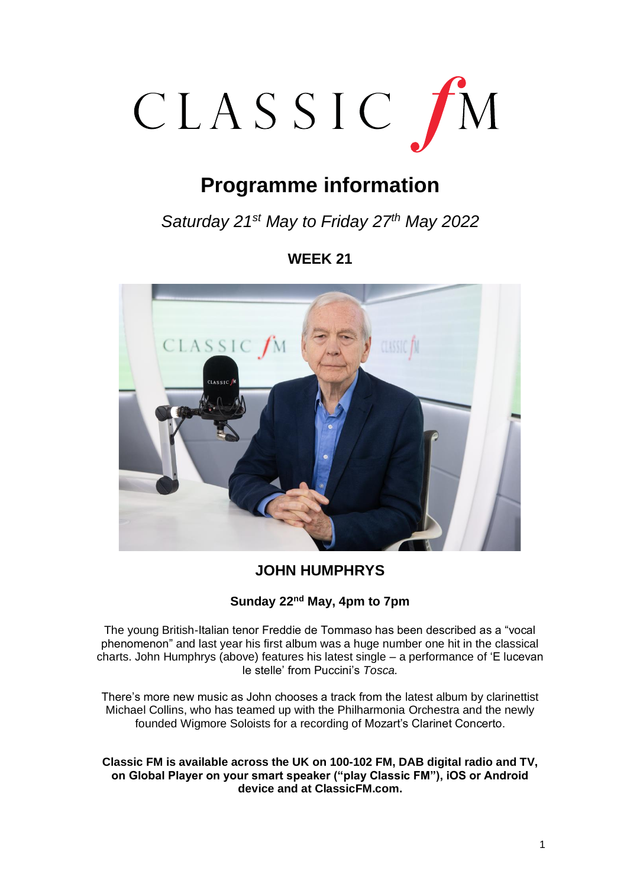

# **Programme information**

*Saturday 21st May to Friday 27th May 2022*

# **WEEK 21**



# **JOHN HUMPHRYS**

# **Sunday 22nd May, 4pm to 7pm**

The young British-Italian tenor Freddie de Tommaso has been described as a "vocal phenomenon" and last year his first album was a huge number one hit in the classical charts. John Humphrys (above) features his latest single – a performance of 'E lucevan le stelle' from Puccini's *Tosca.*

There's more new music as John chooses a track from the latest album by clarinettist Michael Collins, who has teamed up with the Philharmonia Orchestra and the newly founded Wigmore Soloists for a recording of Mozart's Clarinet Concerto.

**Classic FM is available across the UK on 100-102 FM, DAB digital radio and TV, on Global Player on your smart speaker ("play Classic FM"), iOS or Android device and at ClassicFM.com.**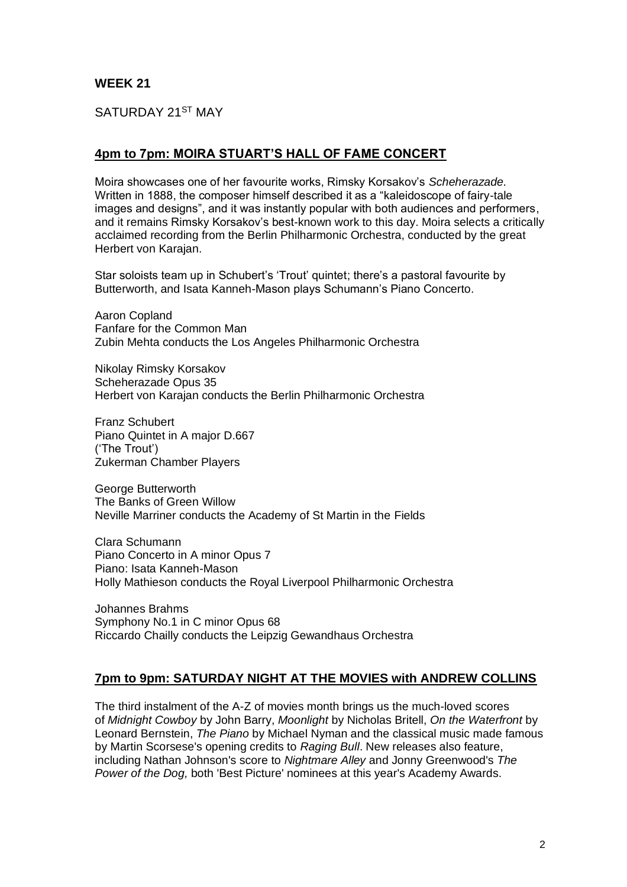SATURDAY 21ST MAY

# **4pm to 7pm: MOIRA STUART'S HALL OF FAME CONCERT**

Moira showcases one of her favourite works, Rimsky Korsakov's *Scheherazade.* Written in 1888, the composer himself described it as a "kaleidoscope of fairy-tale images and designs", and it was instantly popular with both audiences and performers, and it remains Rimsky Korsakov's best-known work to this day. Moira selects a critically acclaimed recording from the Berlin Philharmonic Orchestra, conducted by the great Herbert von Karajan.

Star soloists team up in Schubert's 'Trout' quintet; there's a pastoral favourite by Butterworth, and Isata Kanneh-Mason plays Schumann's Piano Concerto.

Aaron Copland Fanfare for the Common Man Zubin Mehta conducts the Los Angeles Philharmonic Orchestra

Nikolay Rimsky Korsakov Scheherazade Opus 35 Herbert von Karajan conducts the Berlin Philharmonic Orchestra

Franz Schubert Piano Quintet in A major D.667 ('The Trout') Zukerman Chamber Players

George Butterworth The Banks of Green Willow Neville Marriner conducts the Academy of St Martin in the Fields

Clara Schumann Piano Concerto in A minor Opus 7 Piano: Isata Kanneh-Mason Holly Mathieson conducts the Royal Liverpool Philharmonic Orchestra

Johannes Brahms Symphony No.1 in C minor Opus 68 Riccardo Chailly conducts the Leipzig Gewandhaus Orchestra

# **7pm to 9pm: SATURDAY NIGHT AT THE MOVIES with ANDREW COLLINS**

The third instalment of the A-Z of movies month brings us the much-loved scores of *Midnight Cowboy* by John Barry, *Moonlight* by Nicholas Britell, *On the Waterfront* by Leonard Bernstein, *The Piano* by Michael Nyman and the classical music made famous by Martin Scorsese's opening credits to *Raging Bull*. New releases also feature, including Nathan Johnson's score to *Nightmare Alley* and Jonny Greenwood's *The Power of the Dog,* both 'Best Picture' nominees at this year's Academy Awards.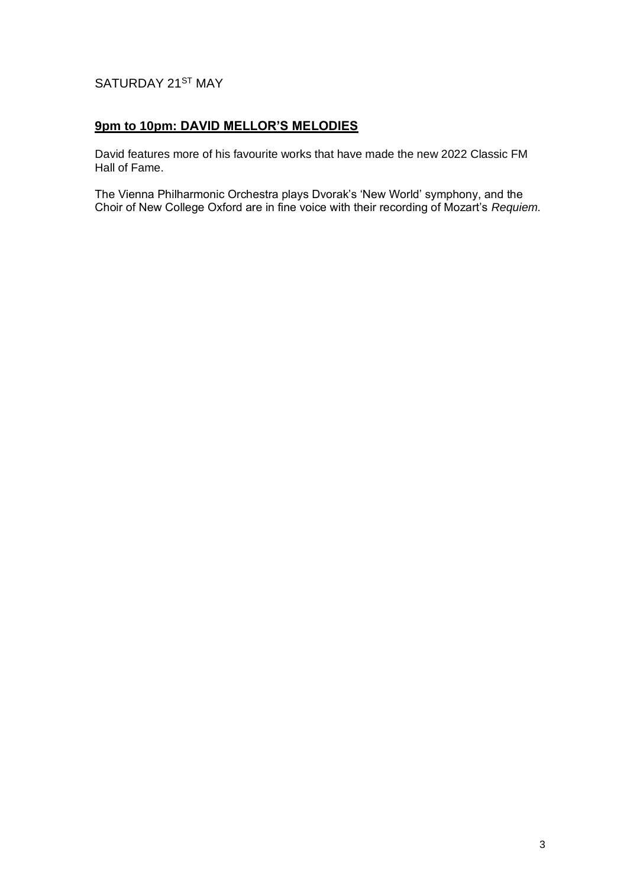# SATURDAY 21ST MAY

# **9pm to 10pm: DAVID MELLOR'S MELODIES**

David features more of his favourite works that have made the new 2022 Classic FM Hall of Fame.

The Vienna Philharmonic Orchestra plays Dvorak's 'New World' symphony, and the Choir of New College Oxford are in fine voice with their recording of Mozart's *Requiem.*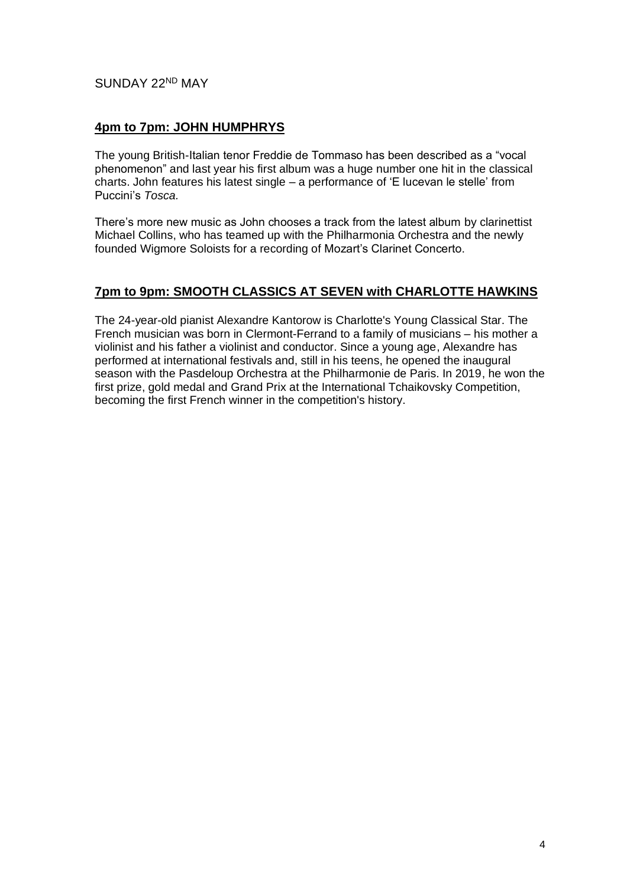# SUNDAY 22ND MAY

#### **4pm to 7pm: JOHN HUMPHRYS**

The young British-Italian tenor Freddie de Tommaso has been described as a "vocal phenomenon" and last year his first album was a huge number one hit in the classical charts. John features his latest single – a performance of 'E lucevan le stelle' from Puccini's *Tosca.*

There's more new music as John chooses a track from the latest album by clarinettist Michael Collins, who has teamed up with the Philharmonia Orchestra and the newly founded Wigmore Soloists for a recording of Mozart's Clarinet Concerto.

#### **7pm to 9pm: SMOOTH CLASSICS AT SEVEN with CHARLOTTE HAWKINS**

The 24-year-old pianist Alexandre Kantorow is Charlotte's Young Classical Star. The French musician was born in Clermont-Ferrand to a family of musicians – his mother a violinist and his father a violinist and conductor. Since a young age, Alexandre has performed at international festivals and, still in his teens, he opened the inaugural season with the Pasdeloup Orchestra at the Philharmonie de Paris. In 2019, he won the first prize, gold medal and Grand Prix at the International Tchaikovsky Competition, becoming the first French winner in the competition's history.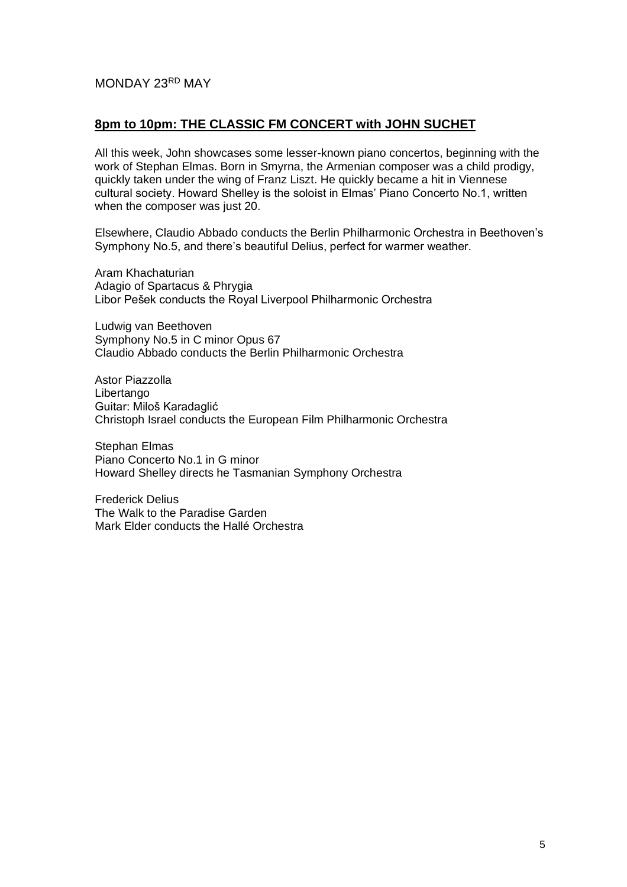#### MONDAY 23RD MAY

#### **8pm to 10pm: THE CLASSIC FM CONCERT with JOHN SUCHET**

All this week, John showcases some lesser-known piano concertos, beginning with the work of Stephan Elmas. Born in Smyrna, the Armenian composer was a child prodigy, quickly taken under the wing of Franz Liszt. He quickly became a hit in Viennese cultural society. Howard Shelley is the soloist in Elmas' Piano Concerto No.1, written when the composer was just 20.

Elsewhere, Claudio Abbado conducts the Berlin Philharmonic Orchestra in Beethoven's Symphony No.5, and there's beautiful Delius, perfect for warmer weather.

Aram Khachaturian Adagio of Spartacus & Phrygia Libor Pešek conducts the Royal Liverpool Philharmonic Orchestra

Ludwig van Beethoven Symphony No.5 in C minor Opus 67 Claudio Abbado conducts the Berlin Philharmonic Orchestra

Astor Piazzolla **Libertango** Guitar: Miloš Karadaglić Christoph Israel conducts the European Film Philharmonic Orchestra

Stephan Elmas Piano Concerto No.1 in G minor Howard Shelley directs he Tasmanian Symphony Orchestra

Frederick Delius The Walk to the Paradise Garden Mark Elder conducts the Hallé Orchestra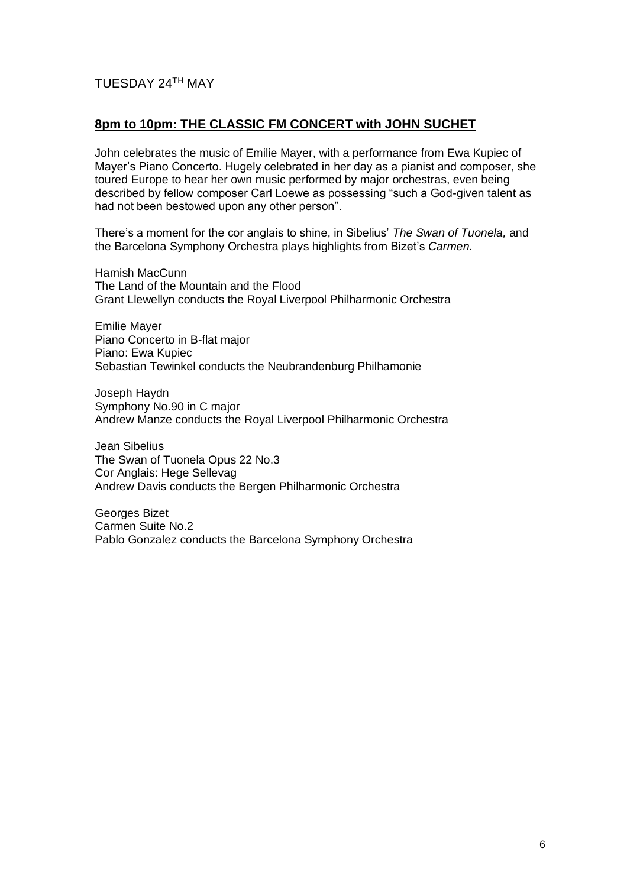# TUESDAY 24TH MAY

# **8pm to 10pm: THE CLASSIC FM CONCERT with JOHN SUCHET**

John celebrates the music of Emilie Mayer, with a performance from Ewa Kupiec of Mayer's Piano Concerto. Hugely celebrated in her day as a pianist and composer, she toured Europe to hear her own music performed by major orchestras, even being described by fellow composer Carl Loewe as possessing "such a God-given talent as had not been bestowed upon any other person".

There's a moment for the cor anglais to shine, in Sibelius' *The Swan of Tuonela,* and the Barcelona Symphony Orchestra plays highlights from Bizet's *Carmen.*

Hamish MacCunn The Land of the Mountain and the Flood Grant Llewellyn conducts the Royal Liverpool Philharmonic Orchestra

Emilie Mayer Piano Concerto in B-flat major Piano: Ewa Kupiec Sebastian Tewinkel conducts the Neubrandenburg Philhamonie

Joseph Haydn Symphony No.90 in C major Andrew Manze conducts the Royal Liverpool Philharmonic Orchestra

Jean Sibelius The Swan of Tuonela Opus 22 No.3 Cor Anglais: Hege Sellevag Andrew Davis conducts the Bergen Philharmonic Orchestra

Georges Bizet Carmen Suite No.2 Pablo Gonzalez conducts the Barcelona Symphony Orchestra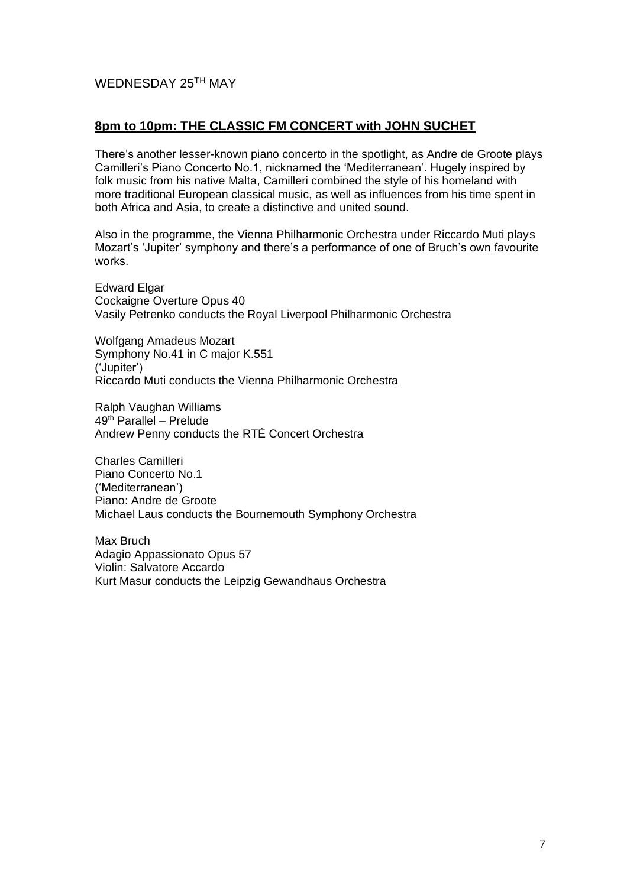# WEDNESDAY 25TH MAY

#### **8pm to 10pm: THE CLASSIC FM CONCERT with JOHN SUCHET**

There's another lesser-known piano concerto in the spotlight, as Andre de Groote plays Camilleri's Piano Concerto No.1, nicknamed the 'Mediterranean'. Hugely inspired by folk music from his native Malta, Camilleri combined the style of his homeland with more traditional European classical music, as well as influences from his time spent in both Africa and Asia, to create a distinctive and united sound.

Also in the programme, the Vienna Philharmonic Orchestra under Riccardo Muti plays Mozart's 'Jupiter' symphony and there's a performance of one of Bruch's own favourite works.

Edward Elgar Cockaigne Overture Opus 40 Vasily Petrenko conducts the Royal Liverpool Philharmonic Orchestra

Wolfgang Amadeus Mozart Symphony No.41 in C major K.551 ('Jupiter') Riccardo Muti conducts the Vienna Philharmonic Orchestra

Ralph Vaughan Williams 49th Parallel – Prelude Andrew Penny conducts the RTÉ Concert Orchestra

Charles Camilleri Piano Concerto No.1 ('Mediterranean') Piano: Andre de Groote Michael Laus conducts the Bournemouth Symphony Orchestra

Max Bruch Adagio Appassionato Opus 57 Violin: Salvatore Accardo Kurt Masur conducts the Leipzig Gewandhaus Orchestra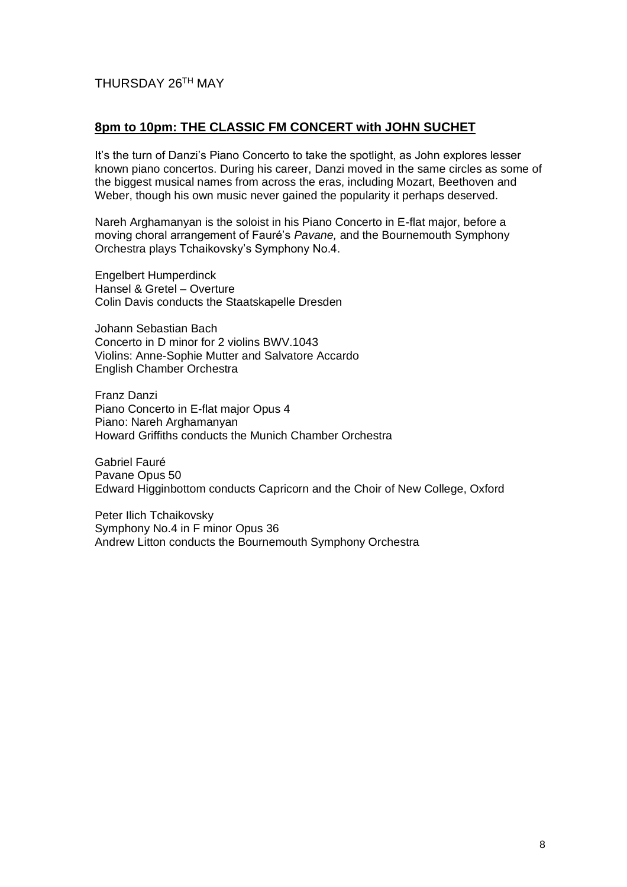# THURSDAY 26TH MAY

#### **8pm to 10pm: THE CLASSIC FM CONCERT with JOHN SUCHET**

It's the turn of Danzi's Piano Concerto to take the spotlight, as John explores lesser known piano concertos. During his career, Danzi moved in the same circles as some of the biggest musical names from across the eras, including Mozart, Beethoven and Weber, though his own music never gained the popularity it perhaps deserved.

Nareh Arghamanyan is the soloist in his Piano Concerto in E-flat major, before a moving choral arrangement of Fauré's *Pavane,* and the Bournemouth Symphony Orchestra plays Tchaikovsky's Symphony No.4.

Engelbert Humperdinck Hansel & Gretel – Overture Colin Davis conducts the Staatskapelle Dresden

Johann Sebastian Bach Concerto in D minor for 2 violins BWV.1043 Violins: Anne-Sophie Mutter and Salvatore Accardo English Chamber Orchestra

Franz Danzi Piano Concerto in E-flat major Opus 4 Piano: Nareh Arghamanyan Howard Griffiths conducts the Munich Chamber Orchestra

Gabriel Fauré Pavane Opus 50 Edward Higginbottom conducts Capricorn and the Choir of New College, Oxford

Peter Ilich Tchaikovsky Symphony No.4 in F minor Opus 36 Andrew Litton conducts the Bournemouth Symphony Orchestra